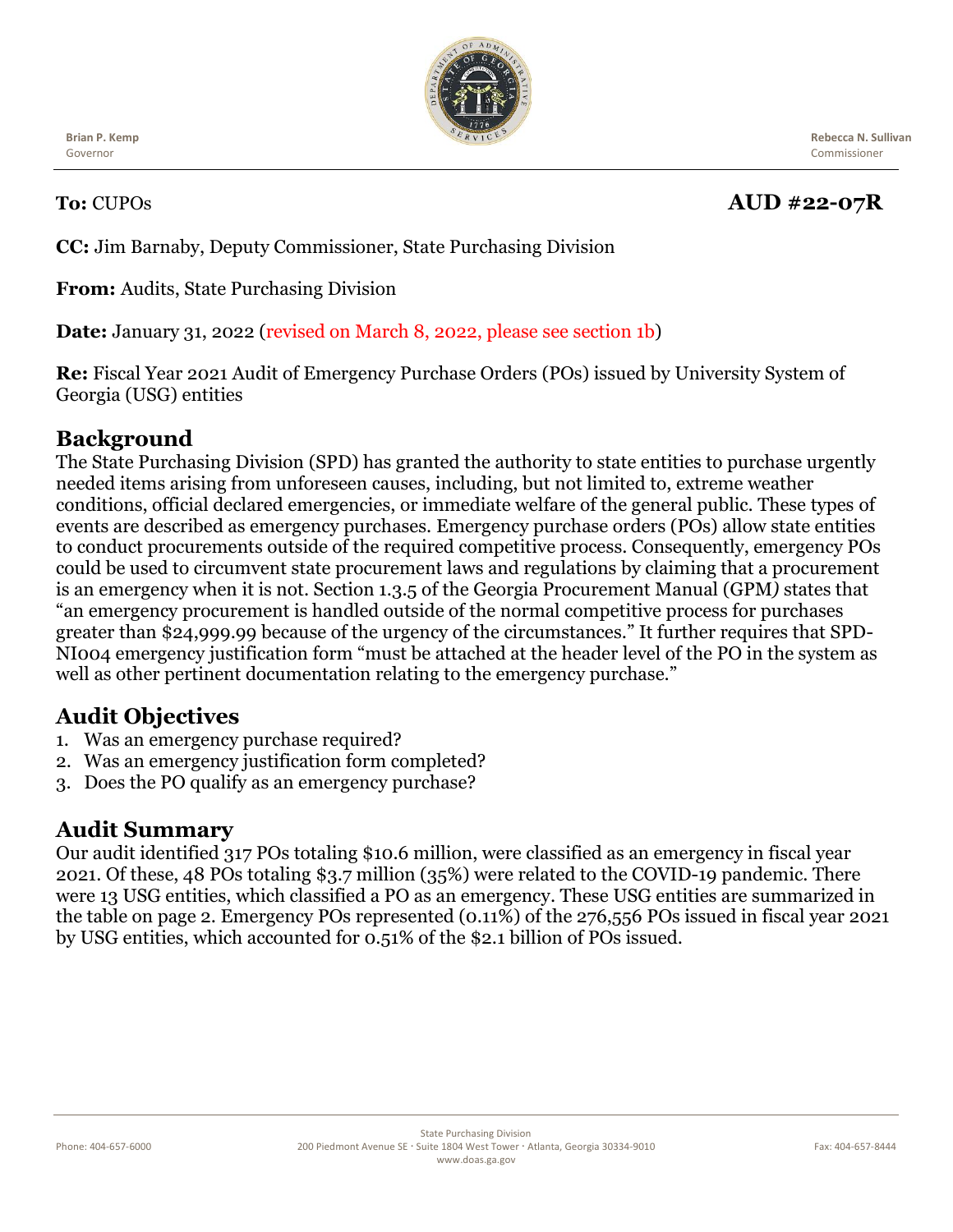

**Brian P. Kemp** Governor

 **Rebecca N. Sullivan** Commissioner

# **To:** CUPOs **AUD #22-07R**

**CC:** Jim Barnaby, Deputy Commissioner, State Purchasing Division

**From:** Audits, State Purchasing Division

**Date:** January 31, 2022 (revised on March 8, 2022, please see section 1b)

**Re:** Fiscal Year 2021 Audit of Emergency Purchase Orders (POs) issued by University System of Georgia (USG) entities

### **Background**

The State Purchasing Division (SPD) has granted the authority to state entities to purchase urgently needed items arising from unforeseen causes, including, but not limited to, extreme weather conditions, official declared emergencies, or immediate welfare of the general public. These types of events are described as emergency purchases. Emergency purchase orders (POs) allow state entities to conduct procurements outside of the required competitive process. Consequently, emergency POs could be used to circumvent state procurement laws and regulations by claiming that a procurement is an emergency when it is not. Section 1.3.5 of the Georgia Procurement Manual (GPM*)* states that "an emergency procurement is handled outside of the normal competitive process for purchases greater than \$24,999.99 because of the urgency of the circumstances." It further requires that SPD-NI004 emergency justification form "must be attached at the header level of the PO in the system as well as other pertinent documentation relating to the emergency purchase."

## **Audit Objectives**

- 1. Was an emergency purchase required?
- 2. Was an emergency justification form completed?
- 3. Does the PO qualify as an emergency purchase?

#### **Audit Summary**

Our audit identified 317 POs totaling \$10.6 million, were classified as an emergency in fiscal year 2021. Of these, 48 POs totaling \$3.7 million (35%) were related to the COVID-19 pandemic. There were 13 USG entities, which classified a PO as an emergency. These USG entities are summarized in the table on page 2. Emergency POs represented (0.11%) of the 276,556 POs issued in fiscal year 2021 by USG entities, which accounted for 0.51% of the \$2.1 billion of POs issued.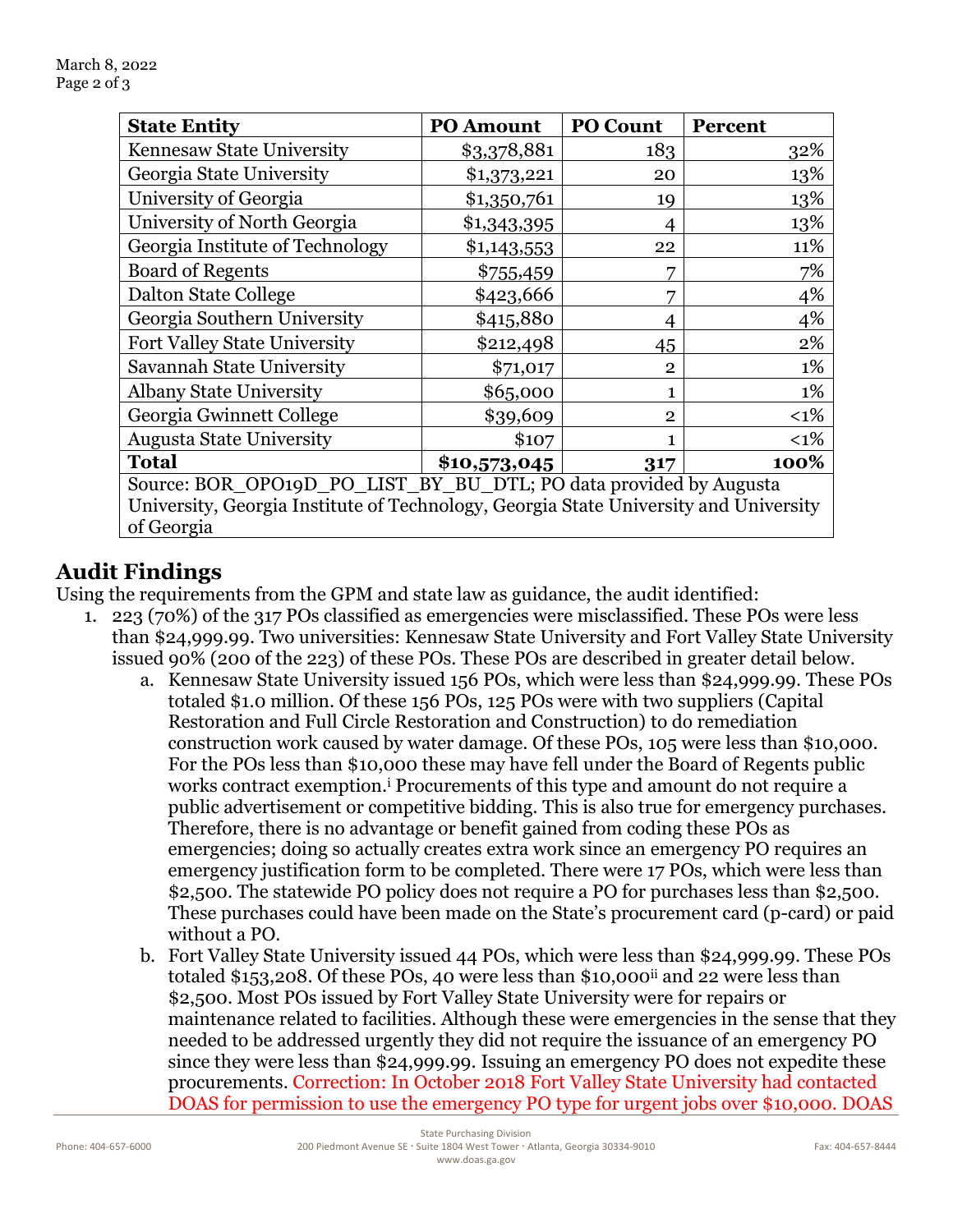| <b>State Entity</b>                                                                  | <b>PO Amount</b> | <b>PO Count</b> | <b>Percent</b> |
|--------------------------------------------------------------------------------------|------------------|-----------------|----------------|
| Kennesaw State University                                                            | \$3,378,881      | 183             | 32%            |
| Georgia State University                                                             | \$1,373,221      | 20              | 13%            |
| University of Georgia                                                                | \$1,350,761      | 19              | 13%            |
| University of North Georgia                                                          | \$1,343,395      |                 | 13%            |
| Georgia Institute of Technology                                                      | \$1,143,553      | 22              | 11%            |
| <b>Board of Regents</b>                                                              | \$755,459        | 7               | 7%             |
| Dalton State College                                                                 | \$423,666        | 7               | 4%             |
| Georgia Southern University                                                          | \$415,880        | 4               | 4%             |
| <b>Fort Valley State University</b>                                                  | \$212,498        | 45              | 2%             |
| Savannah State University                                                            | \$71,017         | $\mathbf{2}$    | 1%             |
| <b>Albany State University</b>                                                       | \$65,000         |                 | 1%             |
| Georgia Gwinnett College                                                             | \$39,609         | $\overline{2}$  | $<1\%$         |
| <b>Augusta State University</b>                                                      | \$107            |                 | $<1\%$         |
| <b>Total</b>                                                                         | \$10,573,045     | 317             | 100%           |
| Source: BOR OPO19D PO LIST BY BU DTL; PO data provided by Augusta                    |                  |                 |                |
| University, Georgia Institute of Technology, Georgia State University and University |                  |                 |                |
| of Georgia                                                                           |                  |                 |                |

# **Audit Findings**

Using the requirements from the GPM and state law as guidance, the audit identified:

- 1. 223 (70%) of the 317 POs classified as emergencies were misclassified. These POs were less than \$24,999.99. Two universities: Kennesaw State University and Fort Valley State University issued 90% (200 of the 223) of these POs. These POs are described in greater detail below.
	- a. Kennesaw State University issued 156 POs, which were less than \$24,999.99. These POs totaled \$1.0 million. Of these 156 POs, 125 POs were with two suppliers (Capital Restoration and Full Circle Restoration and Construction) to do remediation construction work caused by water damage. Of these POs, 105 were less than \$10,000. For the POs less than \$10,000 these may have fell under the Board of Regents public works contract exemption.<sup>i</sup> Procurements of this type and amount do not require a public advertisement or competitive bidding. This is also true for emergency purchases. Therefore, there is no advantage or benefit gained from coding these POs as emergencies; doing so actually creates extra work since an emergency PO requires an emergency justification form to be completed. There were 17 POs, which were less than \$2,500. The statewide PO policy does not require a PO for purchases less than \$2,500. These purchases could have been made on the State's procurement card (p-card) or paid without a PO.
	- b. Fort Valley State University issued 44 POs, which were less than \$24,999.99. These POs totaled \$153,208. Of these POs, 40 were less than \$10,000<sup>ii</sup> and 22 were less than \$2,500. Most POs issued by Fort Valley State University were for repairs or maintenance related to facilities. Although these were emergencies in the sense that they needed to be addressed urgently they did not require the issuance of an emergency PO since they were less than \$24,999.99. Issuing an emergency PO does not expedite these procurements. Correction: In October 2018 Fort Valley State University had contacted DOAS for permission to use the emergency PO type for urgent jobs over \$10,000. DOAS